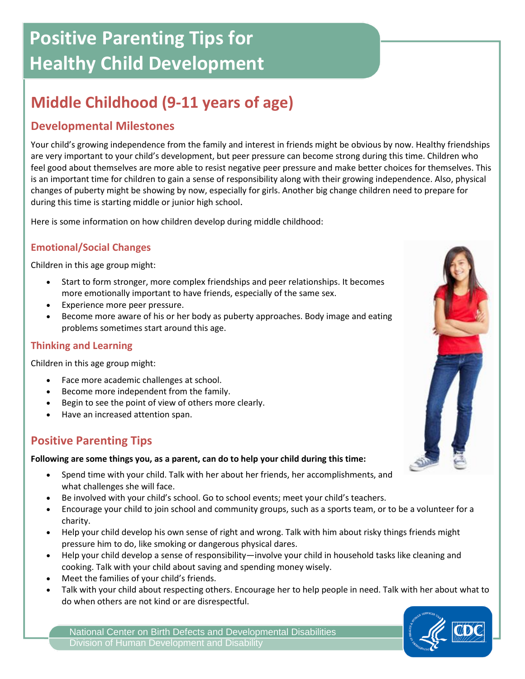# **Positive Parenting Tips for Healthy Child Development**

## **Middle Childhood (9-11 years of age)**

## **Developmental Milestones**

Your child's growing independence from the family and interest in friends might be obvious by now. Healthy friendships are very important to your child's development, but peer pressure can become strong during this time. Children who feel good about themselves are more able to resist negative peer pressure and make better choices for themselves. This is an important time for children to gain a sense of responsibility along with their growing independence. Also, physical changes of puberty might be showing by now, especially for girls. Another big change children need to prepare for during this time is starting middle or junior high school.

Here is some information on how children develop during middle childhood:

### **Emotional/Social Changes**

Children in this age group might:

- Start to form stronger, more complex friendships and peer relationships. It becomes more emotionally important to have friends, especially of the same sex.
- Experience more peer pressure.
- Become more aware of his or her body as puberty approaches. Body image and eating problems sometimes start around this age.

#### **Thinking and Learning**

Children in this age group might:

- Face more academic challenges at school.
- Become more independent from the family.
- Begin to see the point of view of others more clearly.
- Have an increased attention span.

## **Positive Parenting Tips**

#### **Following are some things you, as a parent, can do to help your child during this time:**

- Spend time with your child. Talk with her about her friends, her accomplishments, and what challenges she will face.
- Be involved with your child's school. Go to school events; meet your child's teachers.
- Encourage your child to join school and community groups, such as a sports team, or to be a volunteer for a charity.
- Help your child develop his own sense of right and wrong. Talk with him about risky things friends might pressure him to do, like smoking or dangerous physical dares.
- Help your child develop a sense of responsibility—involve your child in household tasks like cleaning and cooking. Talk with your child about saving and spending money wisely.
- Meet the families of your child's friends.
- Talk with your child about respecting others. Encourage her to help people in need. Talk with her about what to do when others are not kind or are disrespectful.

National Center on Birth Defects and Developmental Disabilities Division of Human Development and Disability